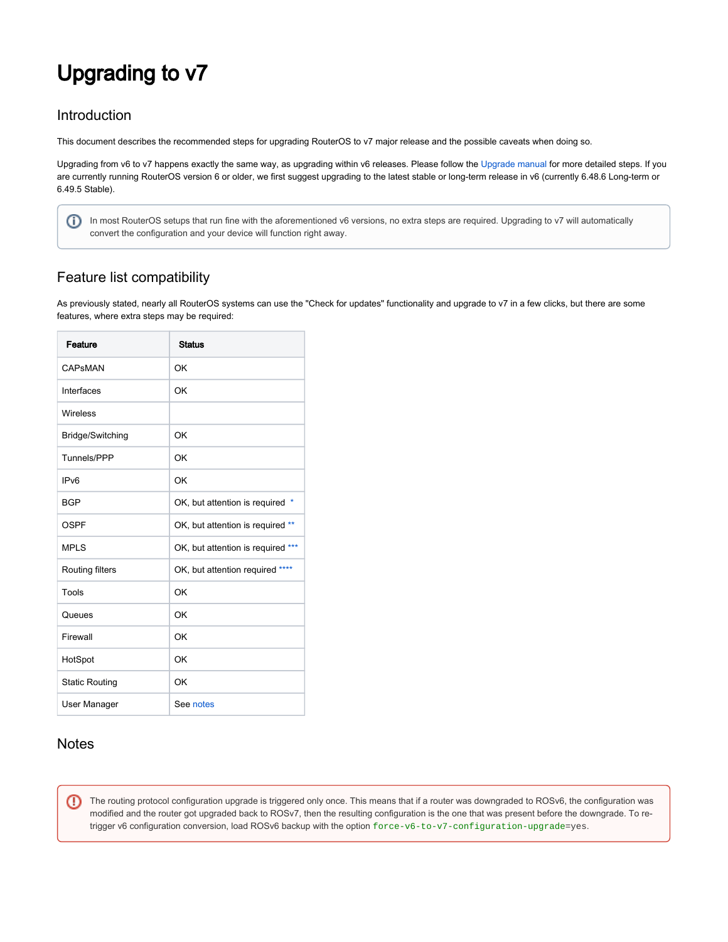# Upgrading to v7

# Introduction

This document describes the recommended steps for upgrading RouterOS to v7 major release and the possible caveats when doing so.

Upgrading from v6 to v7 happens exactly the same way, as upgrading within v6 releases. Please follow the [Upgrade manual](https://help.mikrotik.com/docs/display/ROS/Upgrading+and+installation) for more detailed steps. If you are currently running RouterOS version 6 or older, we first suggest upgrading to the latest stable or long-term release in v6 (currently 6.48.6 Long-term or 6.49.5 Stable).

In most RouterOS setups that run fine with the aforementioned v6 versions, no extra steps are required. Upgrading to v7 will automatically convert the configuration and your device will function right away.

# Feature list compatibility

As previously stated, nearly all RouterOS systems can use the "Check for updates" functionality and upgrade to v7 in a few clicks, but there are some features, where extra steps may be required:

| Feature               | <b>Status</b>                     |
|-----------------------|-----------------------------------|
| CAPSMAN               | OK                                |
| Interfaces            | OK                                |
| Wireless              |                                   |
| Bridge/Switching      | OK                                |
| Tunnels/PPP           | OK                                |
| IP <sub>v6</sub>      | OK                                |
| <b>BGP</b>            | OK, but attention is required *   |
| OSPF                  | OK, but attention is required **  |
| <b>MPLS</b>           | OK, but attention is required *** |
| Routing filters       | OK, but attention required ****   |
| Tools                 | OK                                |
| Queues                | OK                                |
| Firewall              | OK                                |
| HotSpot               | OK                                |
| <b>Static Routing</b> | OK                                |
| User Manager          | See notes                         |

# **Notes**

➀

The routing protocol configuration upgrade is triggered only once. This means that if a router was downgraded to ROSv6, the configuration was modified and the router got upgraded back to ROSv7, then the resulting configuration is the one that was present before the downgrade. To retrigger v6 configuration conversion, load ROSv6 backup with the option force-v6-to-v7-configuration-upgrade=yes.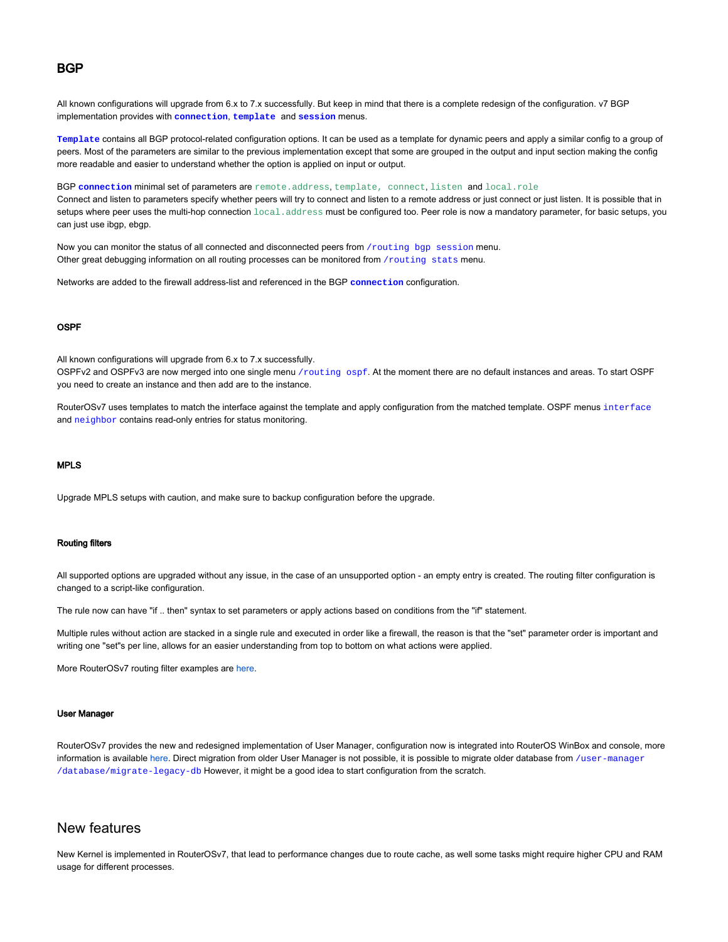#### **BGP**

<span id="page-1-0"></span>All known configurations will upgrade from 6.x to 7.x successfully. But keep in mind that there is a complete redesign of the configuration. v7 BGP implementation provides with **connection**, **template** and **session** menus.

**Template** contains all BGP protocol-related configuration options. It can be used as a template for dynamic peers and apply a similar config to a group of peers. Most of the parameters are similar to the previous implementation except that some are grouped in the output and input section making the config more readable and easier to understand whether the option is applied on input or output.

BGP connection minimal set of parameters are remote.address, template, connect, listen and local.role

Connect and listen to parameters specify whether peers will try to connect and listen to a remote address or just connect or just listen. It is possible that in setups where peer uses the multi-hop connection  $local.address$  must be configured too. Peer role is now a mandatory parameter, for basic setups, you can just use ibgp, ebgp.

Now you can monitor the status of all connected and disconnected peers from /routing bgp session menu. Other great debugging information on all routing processes can be monitored from /routing stats menu.

Networks are added to the firewall address-list and referenced in the BGP **connection** configuration.

#### OSPF

<span id="page-1-1"></span>All known configurations will upgrade from 6.x to 7.x successfully.

OSPFv2 and OSPFv3 are now merged into one single menu /routing ospf. At the moment there are no default instances and areas. To start OSPF you need to create an instance and then add are to the instance.

RouterOSv7 uses templates to match the interface against the template and apply configuration from the matched template. OSPF menus interface and neighbor contains read-only entries for status monitoring.

#### MPLS

<span id="page-1-2"></span>Upgrade MPLS setups with caution, and make sure to backup configuration before the upgrade.

#### Routing filters

<span id="page-1-3"></span>All supported options are upgraded without any issue, in the case of an unsupported option - an empty entry is created. The routing filter configuration is changed to a script-like configuration.

The rule now can have "if .. then" syntax to set parameters or apply actions based on conditions from the "if" statement.

Multiple rules without action are stacked in a single rule and executed in order like a firewall, the reason is that the "set" parameter order is important and writing one "set"s per line, allows for an easier understanding from top to bottom on what actions were applied.

More RouterOSv7 routing filter examples are [here.](https://help.mikrotik.com/docs/display/ROS/ROSv7+Basic+Routing+Examples#ROSv7BasicRoutingExamples-RoutingFilters)

#### User Manager

<span id="page-1-4"></span>RouterOSv7 provides the new and redesigned implementation of User Manager, configuration now is integrated into RouterOS WinBox and console, more information is available [here](https://help.mikrotik.com/docs/display/ROS/User+Manager). Direct migration from older User Manager is not possible, it is possible to migrate older database from /user-manager /database/migrate-legacy-db However, it might be a good idea to start configuration from the scratch.

### New features

New Kernel is implemented in RouterOSv7, that lead to performance changes due to route cache, as well some tasks might require higher CPU and RAM usage for different processes.